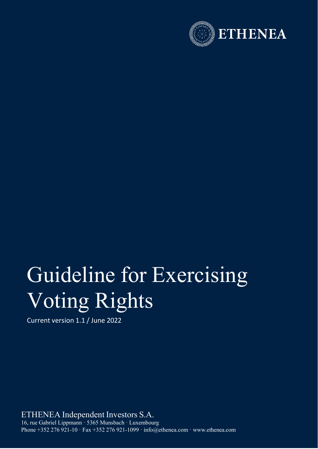

## Guideline for Exercising Voting Rights

Current version 1.1 / June 2022

ETHENEA Independent Investors S.A. 16, rue Gabriel Lippmann · 5365 Munsbach · Luxembourg Phone +352 276 921-10 · Fax +352 276 921-1099 · [info@ethenea.com](mailto:info@ethenea.com) · [www.ethenea.com](http://www.ethenea.com/)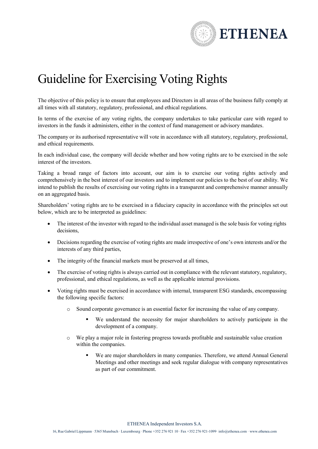

## Guideline for Exercising Voting Rights

The objective of this policy is to ensure that employees and Directors in all areas of the business fully comply at all times with all statutory, regulatory, professional, and ethical regulations.

In terms of the exercise of any voting rights, the company undertakes to take particular care with regard to investors in the funds it administers, either in the context of fund management or advisory mandates.

The company or its authorised representative will vote in accordance with all statutory, regulatory, professional, and ethical requirements.

In each individual case, the company will decide whether and how voting rights are to be exercised in the sole interest of the investors.

Taking a broad range of factors into account, our aim is to exercise our voting rights actively and comprehensively in the best interest of our investors and to implement our policies to the best of our ability. We intend to publish the results of exercising our voting rights in a transparent and comprehensive manner annually on an aggregated basis.

Shareholders' voting rights are to be exercised in a fiduciary capacity in accordance with the principles set out below, which are to be interpreted as guidelines:

- The interest of the investor with regard to the individual asset managed is the sole basis for voting rights decisions,
- Decisions regarding the exercise of voting rights are made irrespective of one's own interests and/or the interests of any third parties,
- The integrity of the financial markets must be preserved at all times,
- The exercise of voting rights is always carried out in compliance with the relevant statutory, regulatory, professional, and ethical regulations, as well as the applicable internal provisions.
- Voting rights must be exercised in accordance with internal, transparent ESG standards, encompassing the following specific factors:
	- o Sound corporate governance is an essential factor for increasing the value of any company.
		- We understand the necessity for major shareholders to actively participate in the development of a company.
	- o We play a major role in fostering progress towards profitable and sustainable value creation within the companies.
		- We are major shareholders in many companies. Therefore, we attend Annual General Meetings and other meetings and seek regular dialogue with company representatives as part of our commitment.